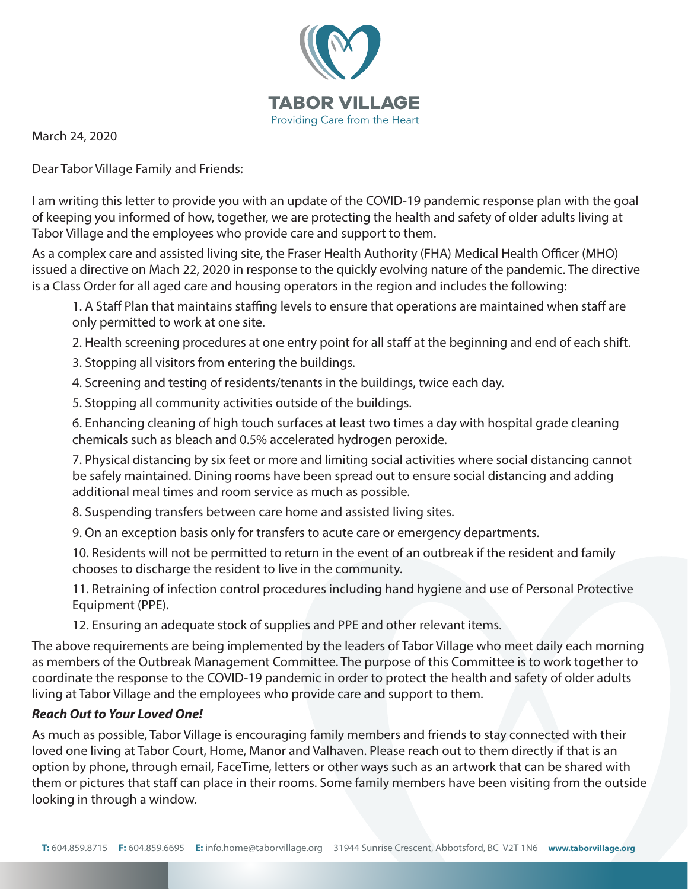

March 24, 2020

Dear Tabor Village Family and Friends:

I am writing this letter to provide you with an update of the COVID-19 pandemic response plan with the goal of keeping you informed of how, together, we are protecting the health and safety of older adults living at Tabor Village and the employees who provide care and support to them.

As a complex care and assisted living site, the Fraser Health Authority (FHA) Medical Health Officer (MHO) issued a directive on Mach 22, 2020 in response to the quickly evolving nature of the pandemic. The directive is a Class Order for all aged care and housing operators in the region and includes the following:

1. A Staff Plan that maintains staffing levels to ensure that operations are maintained when staff are only permitted to work at one site.

2. Health screening procedures at one entry point for all staff at the beginning and end of each shift.

3. Stopping all visitors from entering the buildings.

4. Screening and testing of residents/tenants in the buildings, twice each day.

5. Stopping all community activities outside of the buildings.

 6. Enhancing cleaning of high touch surfaces at least two times a day with hospital grade cleaning chemicals such as bleach and 0.5% accelerated hydrogen peroxide.

 7. Physical distancing by six feet or more and limiting social activities where social distancing cannot be safely maintained. Dining rooms have been spread out to ensure social distancing and adding additional meal times and room service as much as possible.

8. Suspending transfers between care home and assisted living sites.

9. On an exception basis only for transfers to acute care or emergency departments.

 10. Residents will not be permitted to return in the event of an outbreak if the resident and family chooses to discharge the resident to live in the community.

 11. Retraining of infection control procedures including hand hygiene and use of Personal Protective Equipment (PPE).

12. Ensuring an adequate stock of supplies and PPE and other relevant items.

The above requirements are being implemented by the leaders of Tabor Village who meet daily each morning as members of the Outbreak Management Committee. The purpose of this Committee is to work together to coordinate the response to the COVID-19 pandemic in order to protect the health and safety of older adults living at Tabor Village and the employees who provide care and support to them.

# *Reach Out to Your Loved One!*

As much as possible, Tabor Village is encouraging family members and friends to stay connected with their loved one living at Tabor Court, Home, Manor and Valhaven. Please reach out to them directly if that is an option by phone, through email, FaceTime, letters or other ways such as an artwork that can be shared with them or pictures that staff can place in their rooms. Some family members have been visiting from the outside looking in through a window.